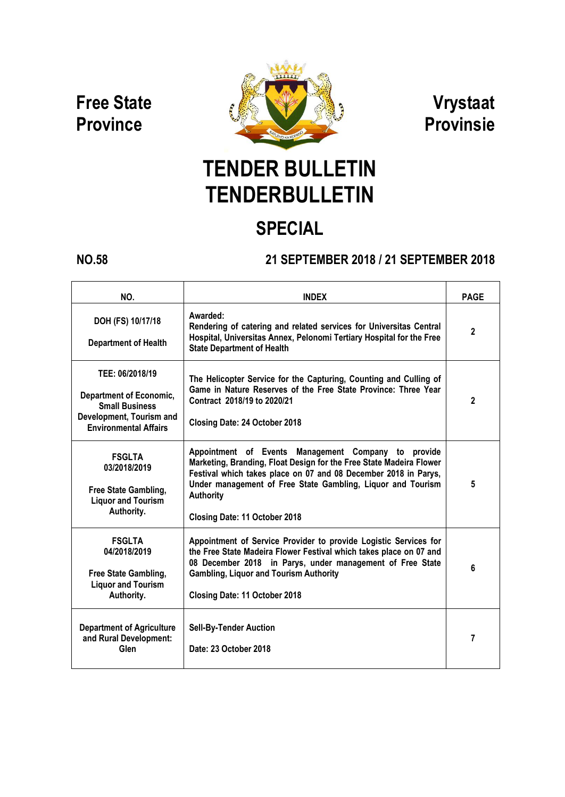**Free State Province**



**Vrystaat Provinsie**

# **TENDER BULLETIN TENDERBULLETIN**

## **SPECIAL**

### **NO.58 21 SEPTEMBER 2018 / 21 SEPTEMBER 2018**

| NO.                                                                                                                                    | <b>INDEX</b>                                                                                                                                                                                                                                                                                                      | <b>PAGE</b>    |
|----------------------------------------------------------------------------------------------------------------------------------------|-------------------------------------------------------------------------------------------------------------------------------------------------------------------------------------------------------------------------------------------------------------------------------------------------------------------|----------------|
| DOH (FS) 10/17/18<br><b>Department of Health</b>                                                                                       | Awarded:<br>Rendering of catering and related services for Universitas Central<br>Hospital, Universitas Annex, Pelonomi Tertiary Hospital for the Free<br><b>State Department of Health</b>                                                                                                                       | $\overline{2}$ |
| TEE: 06/2018/19<br><b>Department of Economic,</b><br><b>Small Business</b><br>Development, Tourism and<br><b>Environmental Affairs</b> | The Helicopter Service for the Capturing, Counting and Culling of<br>Game in Nature Reserves of the Free State Province: Three Year<br>Contract 2018/19 to 2020/21<br><b>Closing Date: 24 October 2018</b>                                                                                                        | $\mathbf 2$    |
| <b>FSGLTA</b><br>03/2018/2019<br>Free State Gambling,<br><b>Liquor and Tourism</b><br>Authority.                                       | Appointment of Events Management Company to provide<br>Marketing, Branding, Float Design for the Free State Madeira Flower<br>Festival which takes place on 07 and 08 December 2018 in Parys,<br>Under management of Free State Gambling, Liquor and Tourism<br><b>Authority</b><br>Closing Date: 11 October 2018 | 5              |
| <b>FSGLTA</b><br>04/2018/2019<br>Free State Gambling,<br><b>Liquor and Tourism</b><br>Authority.                                       | Appointment of Service Provider to provide Logistic Services for<br>the Free State Madeira Flower Festival which takes place on 07 and<br>08 December 2018 in Parys, under management of Free State<br><b>Gambling, Liquor and Tourism Authority</b><br>Closing Date: 11 October 2018                             | 6              |
| <b>Department of Agriculture</b><br>and Rural Development:<br><b>Glen</b>                                                              | <b>Sell-By-Tender Auction</b><br>Date: 23 October 2018                                                                                                                                                                                                                                                            | 7              |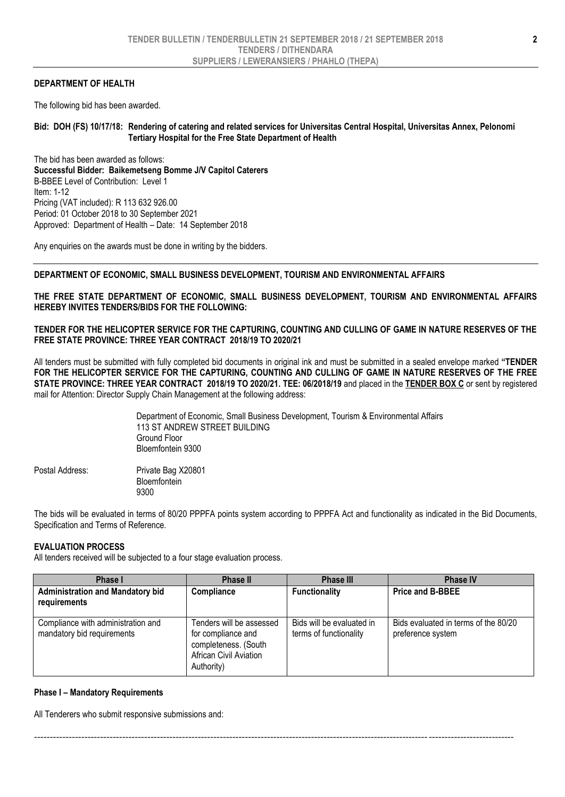### **DEPARTMENT OF HEALTH**

The following bid has been awarded.

### **Bid: DOH (FS) 10/17/18: Rendering of catering and related services for Universitas Central Hospital, Universitas Annex, Pelonomi Tertiary Hospital for the Free State Department of Health**

The bid has been awarded as follows: **Successful Bidder: Baikemetseng Bomme J/V Capitol Caterers** B-BBEE Level of Contribution: Level 1 Item: 1-12 Pricing (VAT included): R 113 632 926.00 Period: 01 October 2018 to 30 September 2021 Approved: Department of Health – Date: 14 September 2018

Any enquiries on the awards must be done in writing by the bidders.

### **DEPARTMENT OF ECONOMIC, SMALL BUSINESS DEVELOPMENT, TOURISM AND ENVIRONMENTAL AFFAIRS**

**THE FREE STATE DEPARTMENT OF ECONOMIC, SMALL BUSINESS DEVELOPMENT, TOURISM AND ENVIRONMENTAL AFFAIRS HEREBY INVITES TENDERS/BIDS FOR THE FOLLOWING:**

**TENDER FOR THE HELICOPTER SERVICE FOR THE CAPTURING, COUNTING AND CULLING OF GAME IN NATURE RESERVES OF THE FREE STATE PROVINCE: THREE YEAR CONTRACT 2018/19 TO 2020/21**

All tenders must be submitted with fully completed bid documents in original ink and must be submitted in a sealed envelope marked **"TENDER FOR THE HELICOPTER SERVICE FOR THE CAPTURING, COUNTING AND CULLING OF GAME IN NATURE RESERVES OF THE FREE STATE PROVINCE: THREE YEAR CONTRACT 2018/19 TO 2020/21. TEE: 06/2018/19** and placed in the **TENDER BOX C** or sent by registered mail for Attention: Director Supply Chain Management at the following address:

> Department of Economic, Small Business Development, Tourism & Environmental Affairs 113 ST ANDREW STREET BUILDING Ground Floor Bloemfontein 9300

Postal Address: Private Bag X20801 **Bloemfontein** 9300

The bids will be evaluated in terms of 80/20 PPPFA points system according to PPPFA Act and functionality as indicated in the Bid Documents, Specification and Terms of Reference.

### **EVALUATION PROCESS**

All tenders received will be subjected to a four stage evaluation process.

| Phase I                                                          | <b>Phase II</b>                                                                                                | <b>Phase III</b>                                    | <b>Phase IV</b>                                           |  |  |  |
|------------------------------------------------------------------|----------------------------------------------------------------------------------------------------------------|-----------------------------------------------------|-----------------------------------------------------------|--|--|--|
| <b>Administration and Mandatory bid</b><br>requirements          | Compliance                                                                                                     | <b>Functionality</b>                                | <b>Price and B-BBEE</b>                                   |  |  |  |
| Compliance with administration and<br>mandatory bid requirements | Tenders will be assessed<br>for compliance and<br>completeness. (South<br>African Civil Aviation<br>Authority) | Bids will be evaluated in<br>terms of functionality | Bids evaluated in terms of the 80/20<br>preference system |  |  |  |

--------------------------------------------------------------------------------------------------------------------------------------------------------

#### **Phase I – Mandatory Requirements**

All Tenderers who submit responsive submissions and: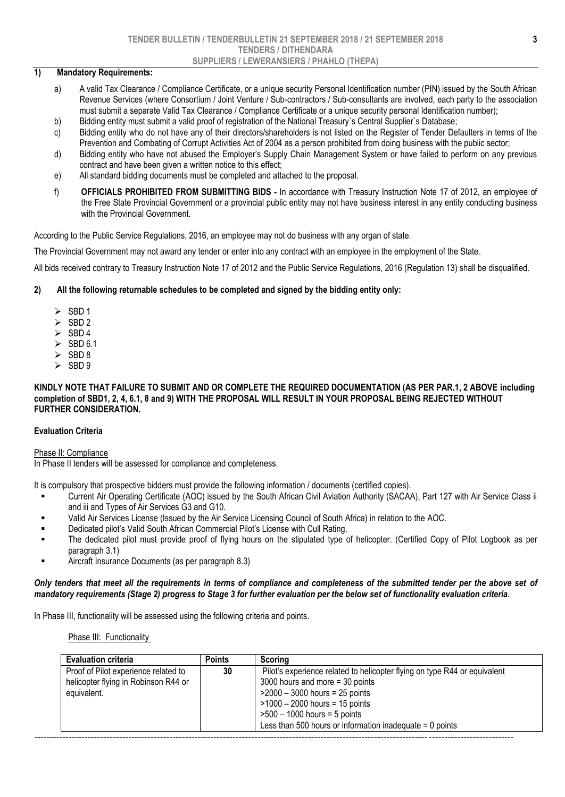### **1) Mandatory Requirements:**

- a) A valid Tax Clearance / Compliance Certificate, or a unique security Personal Identification number (PIN) issued by the South African Revenue Services (where Consortium / Joint Venture / Sub-contractors / Sub-consultants are involved, each party to the association must submit a separate Valid Tax Clearance / Compliance Certificate or a unique security personal Identification number);
- b) Bidding entity must submit a valid proof of registration of the National Treasury`s Central Supplier`s Database;
- c) Bidding entity who do not have any of their directors/shareholders is not listed on the Register of Tender Defaulters in terms of the Prevention and Combating of Corrupt Activities Act of 2004 as a person prohibited from doing business with the public sector;
- d) Bidding entity who have not abused the Employer's Supply Chain Management System or have failed to perform on any previous contract and have been given a written notice to this effect;
- e) All standard bidding documents must be completed and attached to the proposal. Ì
- f) **OFFICIALS PROHIBITED FROM SUBMITTING BIDS -** In accordance with Treasury Instruction Note 17 of 2012, an employee of the Free State Provincial Government or a provincial public entity may not have business interest in any entity conducting business with the Provincial Government.

According to the Public Service Regulations, 2016, an employee may not do business with any organ of state.

The Provincial Government may not award any tender or enter into any contract with an employee in the employment of the State.

All bids received contrary to Treasury Instruction Note 17 of 2012 and the Public Service Regulations, 2016 (Regulation 13) shall be disqualified.

### **2) All the following returnable schedules to be completed and signed by the bidding entity only:**

- $\geq$  SBD 1
- $\geq$  SBD 2
- $\geq$  SBD 4
- $\geq$  SBD 6.1
- $\geq$  SBD 8
- $\geq$  SBD 9

#### **KINDLY NOTE THAT FAILURE TO SUBMIT AND OR COMPLETE THE REQUIRED DOCUMENTATION (AS PER PAR.1, 2 ABOVE including completion of SBD1, 2, 4, 6.1, 8 and 9) WITH THE PROPOSAL WILL RESULT IN YOUR PROPOSAL BEING REJECTED WITHOUT FURTHER CONSIDERATION.**

### **Evaluation Criteria**

### Phase II: Compliance

In Phase II tenders will be assessed for compliance and completeness.

It is compulsory that prospective bidders must provide the following information / documents (certified copies).

- Current Air Operating Certificate (AOC) issued by the South African Civil Aviation Authority (SACAA), Part 127 with Air Service Class ii and iii and Types of Air Services G3 and G10.
- Valid Air Services License (Issued by the Air Service Licensing Council of South Africa) in relation to the AOC.
- Dedicated pilot's Valid South African Commercial Pilot's License with Cull Rating.
- The dedicated pilot must provide proof of flying hours on the stipulated type of helicopter. (Certified Copy of Pilot Logbook as per paragraph 3.1)
- **Example 2.1** Aircraft Insurance Documents (as per paragraph 8.3)

### *Only tenders that meet all the requirements in terms of compliance and completeness of the submitted tender per the above set of mandatory requirements (Stage 2) progress to Stage 3 for further evaluation per the below set of functionality evaluation criteria.*

In Phase III, functionality will be assessed using the following criteria and points.

Phase III: Functionality

| <b>Evaluation criteria</b>           | <b>Points</b> | Scoring                                                                   |
|--------------------------------------|---------------|---------------------------------------------------------------------------|
| Proof of Pilot experience related to | 30            | Pilot's experience related to helicopter flying on type R44 or equivalent |
| helicopter flying in Robinson R44 or |               | 3000 hours and more $=$ 30 points                                         |
| equivalent.                          |               | $>$ 2000 - 3000 hours = 25 points                                         |
|                                      |               | $>1000 - 2000$ hours = 15 points                                          |
|                                      |               | $>500 - 1000$ hours = 5 points                                            |
|                                      |               | Less than 500 hours or information inadequate $= 0$ points                |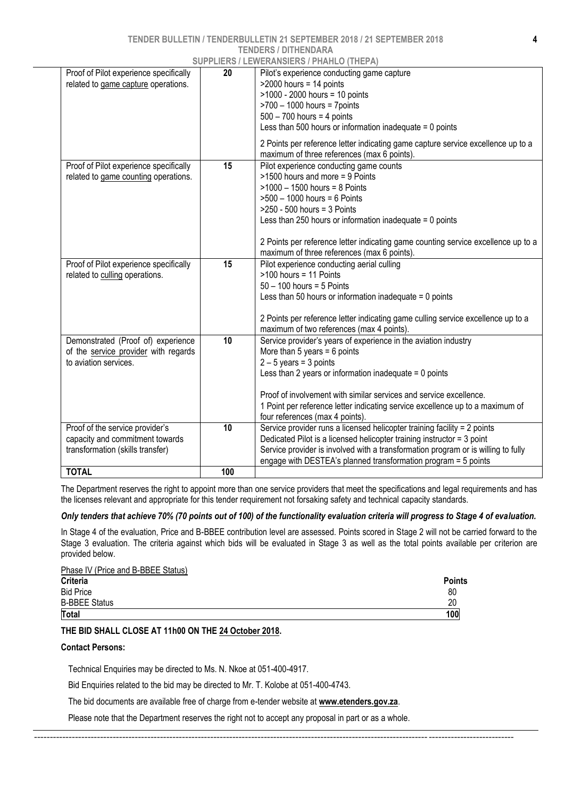### **TENDER BULLETIN / TENDERBULLETIN 21 SEPTEMBER 2018 / 21 SEPTEMBER 2018**

### **TENDERS / DITHENDARA**

| 20<br>$>2000$ hours = 14 points<br>related to game capture operations.<br>>1000 - 2000 hours = 10 points<br>$>700 - 1000$ hours = 7 points<br>$500 - 700$ hours = 4 points<br>Less than 500 hours or information inadequate $= 0$ points<br>2 Points per reference letter indicating game capture service excellence up to a<br>maximum of three references (max 6 points).<br>15<br>Proof of Pilot experience specifically<br>Pilot experience conducting game counts<br>>1500 hours and more = 9 Points<br>related to game counting operations.<br>$>1000 - 1500$ hours = 8 Points<br>$>500 - 1000$ hours = 6 Points<br>$>250 - 500$ hours = 3 Points<br>Less than 250 hours or information inadequate $= 0$ points<br>maximum of three references (max 6 points).<br>15<br>Pilot experience conducting aerial culling<br>Proof of Pilot experience specifically<br>$>100$ hours = 11 Points<br>related to culling operations.<br>$50 - 100$ hours = 5 Points<br>Less than 50 hours or information inadequate $= 0$ points<br>2 Points per reference letter indicating game culling service excellence up to a<br>maximum of two references (max 4 points).<br>Service provider's years of experience in the aviation industry<br>Demonstrated (Proof of) experience<br>10<br>of the service provider with regards<br>More than 5 years = $6$ points<br>to aviation services.<br>$2 - 5$ years = 3 points<br>Less than 2 years or information inadequate $= 0$ points<br>Proof of involvement with similar services and service excellence.<br>1 Point per reference letter indicating service excellence up to a maximum of<br>four references (max 4 points).<br>Proof of the service provider's<br>Service provider runs a licensed helicopter training facility = 2 points<br>10<br>capacity and commitment towards<br>Dedicated Pilot is a licensed helicopter training instructor = 3 point<br>Service provider is involved with a transformation program or is willing to fully<br>transformation (skills transfer)<br>engage with DESTEA's planned transformation program = 5 points<br><b>TOTAL</b><br>100 |                                        | <b>SUPPLIERS / LEWERANSIERS / PHAHLO (THEPA)</b>                                  |
|-----------------------------------------------------------------------------------------------------------------------------------------------------------------------------------------------------------------------------------------------------------------------------------------------------------------------------------------------------------------------------------------------------------------------------------------------------------------------------------------------------------------------------------------------------------------------------------------------------------------------------------------------------------------------------------------------------------------------------------------------------------------------------------------------------------------------------------------------------------------------------------------------------------------------------------------------------------------------------------------------------------------------------------------------------------------------------------------------------------------------------------------------------------------------------------------------------------------------------------------------------------------------------------------------------------------------------------------------------------------------------------------------------------------------------------------------------------------------------------------------------------------------------------------------------------------------------------------------------------------------------------------------------------------------------------------------------------------------------------------------------------------------------------------------------------------------------------------------------------------------------------------------------------------------------------------------------------------------------------------------------------------------------------------------------------------------------------------------------------------------|----------------------------------------|-----------------------------------------------------------------------------------|
|                                                                                                                                                                                                                                                                                                                                                                                                                                                                                                                                                                                                                                                                                                                                                                                                                                                                                                                                                                                                                                                                                                                                                                                                                                                                                                                                                                                                                                                                                                                                                                                                                                                                                                                                                                                                                                                                                                                                                                                                                                                                                                                       | Proof of Pilot experience specifically | Pilot's experience conducting game capture                                        |
|                                                                                                                                                                                                                                                                                                                                                                                                                                                                                                                                                                                                                                                                                                                                                                                                                                                                                                                                                                                                                                                                                                                                                                                                                                                                                                                                                                                                                                                                                                                                                                                                                                                                                                                                                                                                                                                                                                                                                                                                                                                                                                                       |                                        |                                                                                   |
|                                                                                                                                                                                                                                                                                                                                                                                                                                                                                                                                                                                                                                                                                                                                                                                                                                                                                                                                                                                                                                                                                                                                                                                                                                                                                                                                                                                                                                                                                                                                                                                                                                                                                                                                                                                                                                                                                                                                                                                                                                                                                                                       |                                        | 2 Points per reference letter indicating game counting service excellence up to a |
|                                                                                                                                                                                                                                                                                                                                                                                                                                                                                                                                                                                                                                                                                                                                                                                                                                                                                                                                                                                                                                                                                                                                                                                                                                                                                                                                                                                                                                                                                                                                                                                                                                                                                                                                                                                                                                                                                                                                                                                                                                                                                                                       |                                        |                                                                                   |
|                                                                                                                                                                                                                                                                                                                                                                                                                                                                                                                                                                                                                                                                                                                                                                                                                                                                                                                                                                                                                                                                                                                                                                                                                                                                                                                                                                                                                                                                                                                                                                                                                                                                                                                                                                                                                                                                                                                                                                                                                                                                                                                       |                                        |                                                                                   |
|                                                                                                                                                                                                                                                                                                                                                                                                                                                                                                                                                                                                                                                                                                                                                                                                                                                                                                                                                                                                                                                                                                                                                                                                                                                                                                                                                                                                                                                                                                                                                                                                                                                                                                                                                                                                                                                                                                                                                                                                                                                                                                                       |                                        |                                                                                   |
|                                                                                                                                                                                                                                                                                                                                                                                                                                                                                                                                                                                                                                                                                                                                                                                                                                                                                                                                                                                                                                                                                                                                                                                                                                                                                                                                                                                                                                                                                                                                                                                                                                                                                                                                                                                                                                                                                                                                                                                                                                                                                                                       |                                        |                                                                                   |

The Department reserves the right to appoint more than one service providers that meet the specifications and legal requirements and has the licenses relevant and appropriate for this tender requirement not forsaking safety and technical capacity standards.

### *Only tenders that achieve 70% (70 points out of 100) of the functionality evaluation criteria will progress to Stage 4 of evaluation.*

In Stage 4 of the evaluation, Price and B-BBEE contribution level are assessed. Points scored in Stage 2 will not be carried forward to the Stage 3 evaluation. The criteria against which bids will be evaluated in Stage 3 as well as the total points available per criterion are provided below.

| Criteria<br><b>Bid Price</b> | 80  |
|------------------------------|-----|
| <b>B-BBEE Status</b>         | 20  |
| Total                        | 100 |

### **THE BID SHALL CLOSE AT 11h00 ON THE 24 October 2018.**

### **Contact Persons:**

Technical Enquiries may be directed to Ms. N. Nkoe at 051-400-4917.

Bid Enquiries related to the bid may be directed to Mr. T. Kolobe at 051-400-4743.

The bid documents are available free of charge from e-tender website at **[www.etenders.gov.za](http://www.etenders.gov.za/)**.

Please note that the Department reserves the right not to accept any proposal in part or as a whole.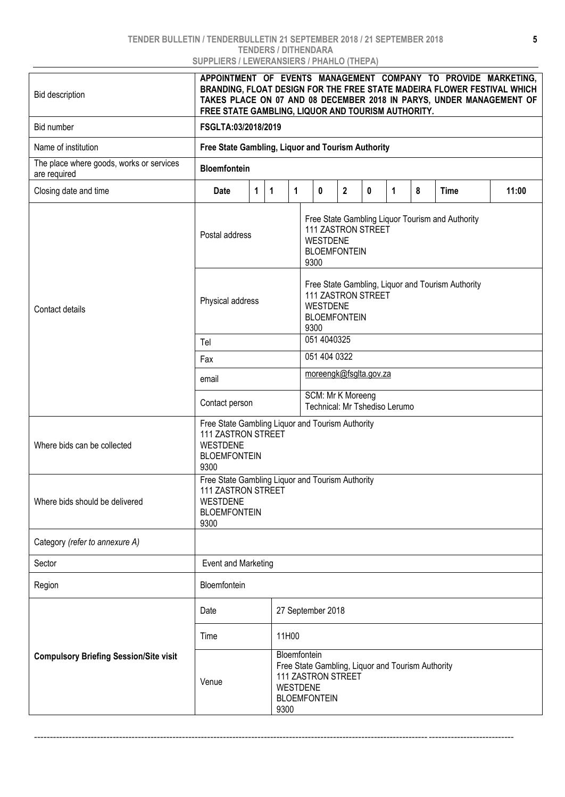### **TENDER BULLETIN / TENDERBULLETIN 21 SEPTEMBER 2018 / 21 SEPTEMBER 2018 TENDERS / DITHENDARA SUPPLIERS / LEWERANSIERS / PHAHLO (THEPA)**

| <b>Bid description</b>                                   | APPOINTMENT OF EVENTS MANAGEMENT COMPANY TO PROVIDE MARKETING,<br>BRANDING, FLOAT DESIGN FOR THE FREE STATE MADEIRA FLOWER FESTIVAL WHICH<br>TAKES PLACE ON 07 AND 08 DECEMBER 2018 IN PARYS, UNDER MANAGEMENT OF<br>FREE STATE GAMBLING, LIQUOR AND TOURISM AUTHORITY. |       |                                                                                                                                   |  |                                                                                                                                  |  |  |  |       |  |  |  |
|----------------------------------------------------------|-------------------------------------------------------------------------------------------------------------------------------------------------------------------------------------------------------------------------------------------------------------------------|-------|-----------------------------------------------------------------------------------------------------------------------------------|--|----------------------------------------------------------------------------------------------------------------------------------|--|--|--|-------|--|--|--|
| Bid number                                               | FSGLTA:03/2018/2019                                                                                                                                                                                                                                                     |       |                                                                                                                                   |  |                                                                                                                                  |  |  |  |       |  |  |  |
| Name of institution                                      | Free State Gambling, Liquor and Tourism Authority                                                                                                                                                                                                                       |       |                                                                                                                                   |  |                                                                                                                                  |  |  |  |       |  |  |  |
| The place where goods, works or services<br>are required | <b>Bloemfontein</b>                                                                                                                                                                                                                                                     |       |                                                                                                                                   |  |                                                                                                                                  |  |  |  |       |  |  |  |
| Closing date and time                                    | $\mathbf{2}$<br>$\mathbf{0}$<br>Date<br>$\mathbf 1$<br>$\mathbf 1$<br>1<br>$\bf{0}$<br>1<br>8<br><b>Time</b>                                                                                                                                                            |       |                                                                                                                                   |  |                                                                                                                                  |  |  |  | 11:00 |  |  |  |
|                                                          | Postal address                                                                                                                                                                                                                                                          |       |                                                                                                                                   |  | Free State Gambling Liquor Tourism and Authority<br><b>111 ZASTRON STREET</b><br><b>WESTDENE</b><br><b>BLOEMFONTEIN</b><br>9300  |  |  |  |       |  |  |  |
| Contact details                                          | Physical address                                                                                                                                                                                                                                                        |       |                                                                                                                                   |  | Free State Gambling, Liquor and Tourism Authority<br><b>111 ZASTRON STREET</b><br><b>WESTDENE</b><br><b>BLOEMFONTEIN</b><br>9300 |  |  |  |       |  |  |  |
|                                                          | Tel                                                                                                                                                                                                                                                                     |       | 051 4040325                                                                                                                       |  |                                                                                                                                  |  |  |  |       |  |  |  |
|                                                          | Fax                                                                                                                                                                                                                                                                     |       | 051 404 0322                                                                                                                      |  |                                                                                                                                  |  |  |  |       |  |  |  |
|                                                          | email                                                                                                                                                                                                                                                                   |       | moreengk@fsglta.gov.za                                                                                                            |  |                                                                                                                                  |  |  |  |       |  |  |  |
|                                                          | Contact person                                                                                                                                                                                                                                                          |       |                                                                                                                                   |  | SCM: Mr K Moreeng<br>Technical: Mr Tshediso Lerumo                                                                               |  |  |  |       |  |  |  |
| Where bids can be collected                              | Free State Gambling Liquor and Tourism Authority<br>111 ZASTRON STREET<br><b>WESTDENE</b><br><b>BLOEMFONTEIN</b><br>9300                                                                                                                                                |       |                                                                                                                                   |  |                                                                                                                                  |  |  |  |       |  |  |  |
| Where bids should be delivered                           | Free State Gambling Liquor and Tourism Authority<br>111 ZASTRON STREET<br><b>WESTDENE</b><br><b>BLOEMFONTEIN</b><br>9300                                                                                                                                                |       |                                                                                                                                   |  |                                                                                                                                  |  |  |  |       |  |  |  |
| Category (refer to annexure A)                           |                                                                                                                                                                                                                                                                         |       |                                                                                                                                   |  |                                                                                                                                  |  |  |  |       |  |  |  |
| Sector                                                   | <b>Event and Marketing</b>                                                                                                                                                                                                                                              |       |                                                                                                                                   |  |                                                                                                                                  |  |  |  |       |  |  |  |
| Region                                                   | Bloemfontein                                                                                                                                                                                                                                                            |       |                                                                                                                                   |  |                                                                                                                                  |  |  |  |       |  |  |  |
|                                                          | Date                                                                                                                                                                                                                                                                    |       | 27 September 2018                                                                                                                 |  |                                                                                                                                  |  |  |  |       |  |  |  |
|                                                          | Time                                                                                                                                                                                                                                                                    | 11H00 |                                                                                                                                   |  |                                                                                                                                  |  |  |  |       |  |  |  |
| <b>Compulsory Briefing Session/Site visit</b>            | Venue                                                                                                                                                                                                                                                                   | 9300  | Bloemfontein<br>Free State Gambling, Liquor and Tourism Authority<br>111 ZASTRON STREET<br><b>WESTDENE</b><br><b>BLOEMFONTEIN</b> |  |                                                                                                                                  |  |  |  |       |  |  |  |

--------------------------------------------------------------------------------------------------------------------------------------------------------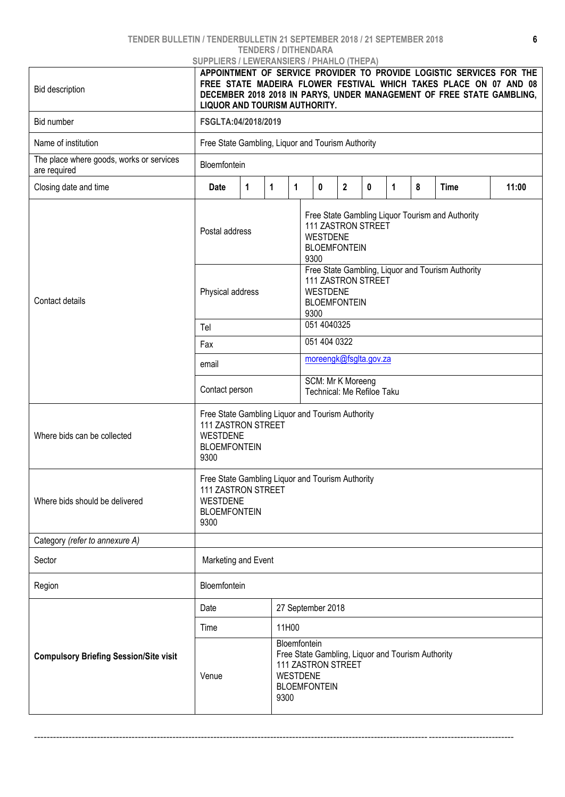### **TENDER BULLETIN / TENDERBULLETIN 21 SEPTEMBER 2018 / 21 SEPTEMBER 2018**

### **TENDERS / DITHENDARA**

| <b>Bid description</b>                                   | <b>SUPPLIERS / LEWERANSIERS / PHAHLO (THEPA)</b><br>APPOINTMENT OF SERVICE PROVIDER TO PROVIDE LOGISTIC SERVICES FOR THE<br>FREE STATE MADEIRA FLOWER FESTIVAL WHICH TAKES PLACE ON 07 AND 08<br>DECEMBER 2018 2018 IN PARYS, UNDER MANAGEMENT OF FREE STATE GAMBLING,<br>LIQUOR AND TOURISM AUTHORITY. |                                                                          |                                                                                                                                   |  |                             |  |  |              |   |             |       |  |  |
|----------------------------------------------------------|---------------------------------------------------------------------------------------------------------------------------------------------------------------------------------------------------------------------------------------------------------------------------------------------------------|--------------------------------------------------------------------------|-----------------------------------------------------------------------------------------------------------------------------------|--|-----------------------------|--|--|--------------|---|-------------|-------|--|--|
| Bid number                                               | FSGLTA:04/2018/2019                                                                                                                                                                                                                                                                                     |                                                                          |                                                                                                                                   |  |                             |  |  |              |   |             |       |  |  |
| Name of institution                                      | Free State Gambling, Liquor and Tourism Authority                                                                                                                                                                                                                                                       |                                                                          |                                                                                                                                   |  |                             |  |  |              |   |             |       |  |  |
| The place where goods, works or services<br>are required | Bloemfontein                                                                                                                                                                                                                                                                                            |                                                                          |                                                                                                                                   |  |                             |  |  |              |   |             |       |  |  |
| Closing date and time                                    | Date                                                                                                                                                                                                                                                                                                    | 0<br>$\overline{2}$<br>$\mathbf{1}$<br>$\mathbf{1}$<br>$\mathbf{1}$<br>0 |                                                                                                                                   |  |                             |  |  | $\mathbf{1}$ | 8 | <b>Time</b> | 11:00 |  |  |
| Contact details                                          | Free State Gambling Liquor Tourism and Authority<br>111 ZASTRON STREET<br>Postal address<br><b>WESTDENE</b><br><b>BLOEMFONTEIN</b><br>9300<br>Free State Gambling, Liquor and Tourism Authority<br><b>111 ZASTRON STREET</b><br><b>WESTDENE</b><br>Physical address<br><b>BLOEMFONTEIN</b>              |                                                                          |                                                                                                                                   |  |                             |  |  |              |   |             |       |  |  |
|                                                          | Tel                                                                                                                                                                                                                                                                                                     |                                                                          |                                                                                                                                   |  | 9300                        |  |  |              |   |             |       |  |  |
|                                                          | Fax                                                                                                                                                                                                                                                                                                     |                                                                          |                                                                                                                                   |  | 051 4040325<br>051 404 0322 |  |  |              |   |             |       |  |  |
|                                                          | email                                                                                                                                                                                                                                                                                                   |                                                                          | moreengk@fsglta.gov.za                                                                                                            |  |                             |  |  |              |   |             |       |  |  |
|                                                          | Contact person                                                                                                                                                                                                                                                                                          |                                                                          | SCM: Mr K Moreeng<br>Technical: Me Refiloe Taku                                                                                   |  |                             |  |  |              |   |             |       |  |  |
| Where bids can be collected                              | Free State Gambling Liquor and Tourism Authority<br>111 ZASTRON STREET<br><b>WESTDENE</b><br><b>BLOEMFONTEIN</b><br>9300                                                                                                                                                                                |                                                                          |                                                                                                                                   |  |                             |  |  |              |   |             |       |  |  |
| Where bids should be delivered                           | Free State Gambling Liquor and Tourism Authority<br>111 ZASTRON STREET<br><b>WESTDENE</b><br><b>BLOEMFONTEIN</b><br>9300                                                                                                                                                                                |                                                                          |                                                                                                                                   |  |                             |  |  |              |   |             |       |  |  |
| Category (refer to annexure A)                           |                                                                                                                                                                                                                                                                                                         |                                                                          |                                                                                                                                   |  |                             |  |  |              |   |             |       |  |  |
| Sector                                                   | Marketing and Event                                                                                                                                                                                                                                                                                     |                                                                          |                                                                                                                                   |  |                             |  |  |              |   |             |       |  |  |
| Region                                                   | Bloemfontein                                                                                                                                                                                                                                                                                            |                                                                          |                                                                                                                                   |  |                             |  |  |              |   |             |       |  |  |
|                                                          | Date                                                                                                                                                                                                                                                                                                    |                                                                          | 27 September 2018                                                                                                                 |  |                             |  |  |              |   |             |       |  |  |
|                                                          | Time                                                                                                                                                                                                                                                                                                    | 11H00                                                                    |                                                                                                                                   |  |                             |  |  |              |   |             |       |  |  |
| <b>Compulsory Briefing Session/Site visit</b>            | Venue                                                                                                                                                                                                                                                                                                   | 9300                                                                     | Bloemfontein<br>Free State Gambling, Liquor and Tourism Authority<br>111 ZASTRON STREET<br><b>WESTDENE</b><br><b>BLOEMFONTEIN</b> |  |                             |  |  |              |   |             |       |  |  |

--------------------------------------------------------------------------------------------------------------------------------------------------------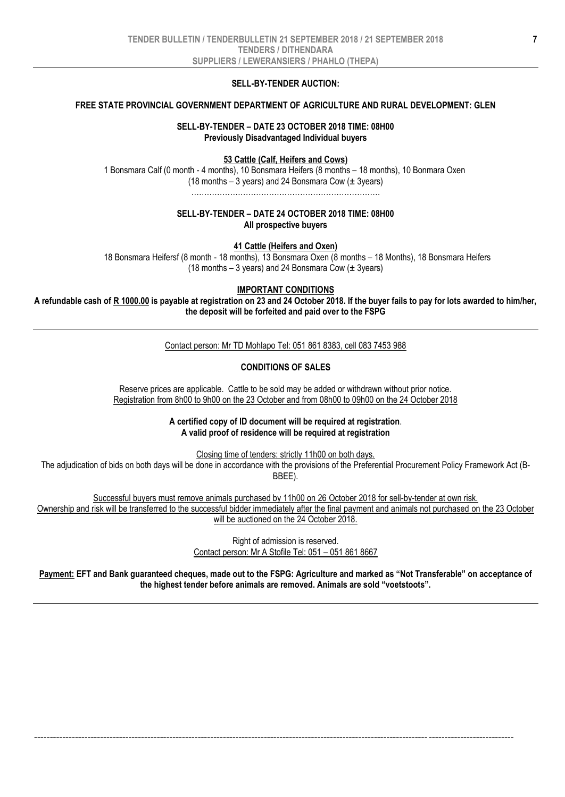### **SELL-BY-TENDER AUCTION:**

### **FREE STATE PROVINCIAL GOVERNMENT DEPARTMENT OF AGRICULTURE AND RURAL DEVELOPMENT: GLEN**

### **SELL-BY-TENDER – DATE 23 OCTOBER 2018 TIME: 08H00 Previously Disadvantaged Individual buyers**

### **53 Cattle (Calf, Heifers and Cows)**

1 Bonsmara Calf (0 month - 4 months), 10 Bonsmara Heifers (8 months – 18 months), 10 Bonmara Oxen (18 months  $-3$  years) and 24 Bonsmara Cow ( $\pm$  3years) ……………………………………………………………….

### **SELL-BY-TENDER – DATE 24 OCTOBER 2018 TIME: 08H00 All prospective buyers**

**41 Cattle (Heifers and Oxen)**

18 Bonsmara Heifersf (8 month - 18 months), 13 Bonsmara Oxen (8 months – 18 Months), 18 Bonsmara Heifers (18 months – 3 years) and 24 Bonsmara Cow  $(\pm 3$ years)

### **IMPORTANT CONDITIONS**

**A refundable cash of R 1000.00 is payable at registration on 23 and 24 October 2018. If the buyer fails to pay for lots awarded to him/her, the deposit will be forfeited and paid over to the FSPG**

Contact person: Mr TD Mohlapo Tel: 051 861 8383, cell 083 7453 988

### **CONDITIONS OF SALES**

Reserve prices are applicable. Cattle to be sold may be added or withdrawn without prior notice. Registration from 8h00 to 9h00 on the 23 October and from 08h00 to 09h00 on the 24 October 2018

> **A certified copy of ID document will be required at registration**. **A valid proof of residence will be required at registration**

Closing time of tenders: strictly 11h00 on both days. The adjudication of bids on both days will be done in accordance with the provisions of the Preferential Procurement Policy Framework Act (B-BBEE).

Successful buyers must remove animals purchased by 11h00 on 26 October 2018 for sell-by-tender at own risk. Ownership and risk will be transferred to the successful bidder immediately after the final payment and animals not purchased on the 23 October will be auctioned on the 24 October 2018.

> Right of admission is reserved. Contact person: Mr A Stofile Tel: 051 – 051 861 8667

**Payment: EFT and Bank guaranteed cheques, made out to the FSPG: Agriculture and marked as "Not Transferable" on acceptance of the highest tender before animals are removed. Animals are sold "voetstoots".**

--------------------------------------------------------------------------------------------------------------------------------------------------------